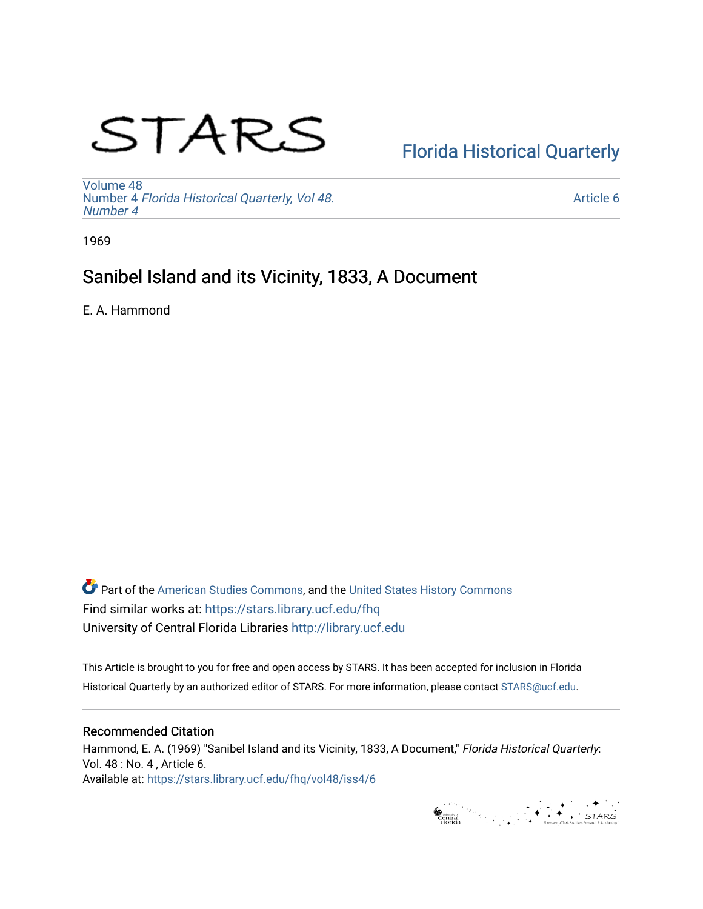# STARS

# [Florida Historical Quarterly](https://stars.library.ucf.edu/fhq)

[Volume 48](https://stars.library.ucf.edu/fhq/vol48) Number 4 [Florida Historical Quarterly, Vol 48.](https://stars.library.ucf.edu/fhq/vol48/iss4) [Number 4](https://stars.library.ucf.edu/fhq/vol48/iss4)

[Article 6](https://stars.library.ucf.edu/fhq/vol48/iss4/6) 

1969

# Sanibel Island and its Vicinity, 1833, A Document

E. A. Hammond

**C** Part of the [American Studies Commons](http://network.bepress.com/hgg/discipline/439?utm_source=stars.library.ucf.edu%2Ffhq%2Fvol48%2Fiss4%2F6&utm_medium=PDF&utm_campaign=PDFCoverPages), and the United States History Commons Find similar works at: <https://stars.library.ucf.edu/fhq> University of Central Florida Libraries [http://library.ucf.edu](http://library.ucf.edu/) 

This Article is brought to you for free and open access by STARS. It has been accepted for inclusion in Florida Historical Quarterly by an authorized editor of STARS. For more information, please contact [STARS@ucf.edu.](mailto:STARS@ucf.edu)

## Recommended Citation

Hammond, E. A. (1969) "Sanibel Island and its Vicinity, 1833, A Document," Florida Historical Quarterly: Vol. 48 : No. 4 , Article 6. Available at: [https://stars.library.ucf.edu/fhq/vol48/iss4/6](https://stars.library.ucf.edu/fhq/vol48/iss4/6?utm_source=stars.library.ucf.edu%2Ffhq%2Fvol48%2Fiss4%2F6&utm_medium=PDF&utm_campaign=PDFCoverPages) 

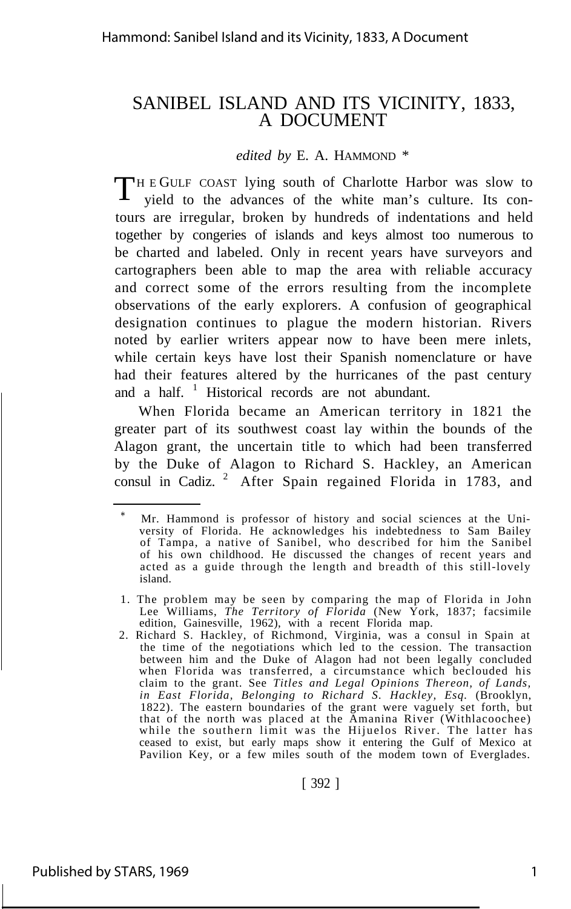# SANIBEL ISLAND AND ITS VICINITY, 1833, A DOCUMENT

*edited by* E. A. HAMMOND \*

THE GULF COAST lying south of Charlotte Harbor was slow to yield to the advances of the white man's culture. Its conyield to the advances of the white man's culture. Its contours are irregular, broken by hundreds of indentations and held together by congeries of islands and keys almost too numerous to be charted and labeled. Only in recent years have surveyors and cartographers been able to map the area with reliable accuracy and correct some of the errors resulting from the incomplete observations of the early explorers. A confusion of geographical designation continues to plague the modern historian. Rivers noted by earlier writers appear now to have been mere inlets, while certain keys have lost their Spanish nomenclature or have had their features altered by the hurricanes of the past century and a half.  $\frac{1}{1}$  Historical records are not abundant.

When Florida became an American territory in 1821 the greater part of its southwest coast lay within the bounds of the Alagon grant, the uncertain title to which had been transferred by the Duke of Alagon to Richard S. Hackley, an American consul in Cadiz.<sup>2</sup> After Spain regained Florida in 1783, and

[ 392 ]

Mr. Hammond is professor of history and social sciences at the University of Florida. He acknowledges his indebtedness to Sam Bailey of Tampa, a native of Sanibel, who described for him the Sanibel of his own childhood. He discussed the changes of recent years and acted as a guide through the length and breadth of this still-lovely island.

<sup>1.</sup> The problem may be seen by comparing the map of Florida in John Lee Williams, *The Territory of Florida* (New York, 1837; facsimile edition, Gainesville, 1962), with a recent Florida map.

<sup>2.</sup> Richard S. Hackley, of Richmond, Virginia, was a consul in Spain at the time of the negotiations which led to the cession. The transaction between him and the Duke of Alagon had not been legally concluded when Florida was transferred, a circumstance which beclouded his claim to the grant. See *Titles and Legal Opinions Thereon, of Lands, in East Florida, Belonging to Richard S. Hackley, Esq.* (Brooklyn, 1822). The eastern boundaries of the grant were vaguely set forth, but that of the north was placed at the Amanina River (Withlacoochee) while the southern limit was the Hijuelos River. The latter has ceased to exist, but early maps show it entering the Gulf of Mexico at Pavilion Key, or a few miles south of the modem town of Everglades.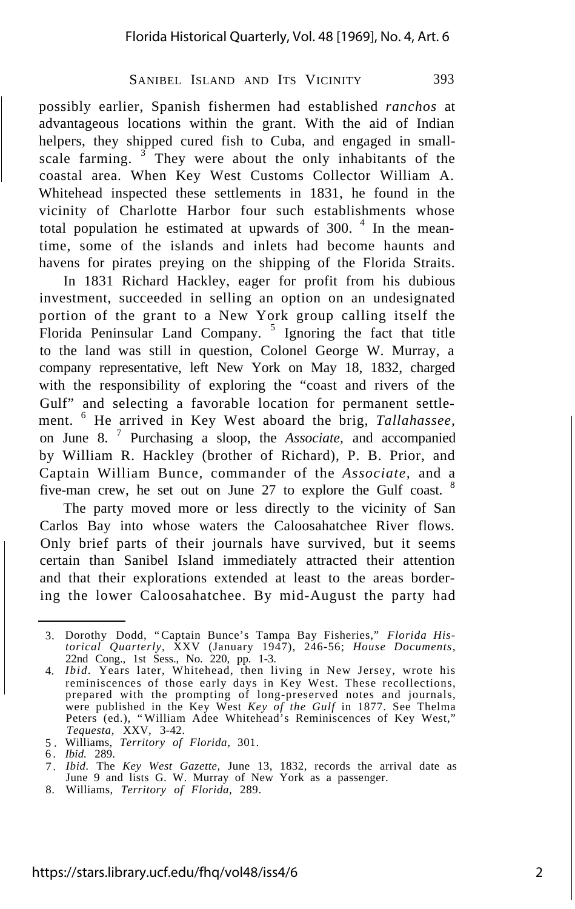possibly earlier, Spanish fishermen had established *ranchos* at advantageous locations within the grant. With the aid of Indian helpers, they shipped cured fish to Cuba, and engaged in smallscale farming.  $3$  They were about the only inhabitants of the coastal area. When Key West Customs Collector William A. Whitehead inspected these settlements in 1831, he found in the vicinity of Charlotte Harbor four such establishments whose total population he estimated at upwards of 300. $4$  In the meantime, some of the islands and inlets had become haunts and havens for pirates preying on the shipping of the Florida Straits.

In 1831 Richard Hackley, eager for profit from his dubious investment, succeeded in selling an option on an undesignated portion of the grant to a New York group calling itself the Florida Peninsular Land Company.<sup>5</sup> Ignoring the fact that title to the land was still in question, Colonel George W. Murray, a company representative, left New York on May 18, 1832, charged with the responsibility of exploring the "coast and rivers of the Gulf" and selecting a favorable location for permanent settlement. <sup>6</sup> He arrived in Key West aboard the brig, *Tallahassee,* on June 8. <sup>7</sup> Purchasing a sloop, the *Associate,* and accompanied by William R. Hackley (brother of Richard), P. B. Prior, and Captain William Bunce, commander of the *Associate,* and a five-man crew, he set out on June 27 to explore the Gulf coast. <sup>8</sup>

The party moved more or less directly to the vicinity of San Carlos Bay into whose waters the Caloosahatchee River flows. Only brief parts of their journals have survived, but it seems certain than Sanibel Island immediately attracted their attention and that their explorations extended at least to the areas bordering the lower Caloosahatchee. By mid-August the party had

8. Williams, *Territory of Florida,* 289.

<sup>3.</sup> Dorothy Dodd, "Captain Bunce's Tampa Bay Fisheries," *Florida Historical Quarterly,* XXV (January 1947), 246-56; *House Documents,* 22nd Cong., 1st Sess., No. 220, pp. 1-3. *Ibid.* Years later, Whitehead, then living in New Jersey, wrote his

<sup>4.</sup> reminiscences of those early days in Key West. These recollections, prepared with the prompting of long-preserved notes and journals, were published in the Key West *Key of the Gulf* in 1877. See Thelma Peters (ed.), "William Adee Whitehead's Reminiscences of Key West," *Tequesta,* XXV, 3-42.

<sup>5</sup> . Williams, *Territory of Florida,* 301.

<sup>6</sup> . *Ibid.* 289.

<sup>7</sup> . *Ibid.* The *Key West Gazette,* June 13, 1832, records the arrival date as June 9 and lists G. W. Murray of New York as a passenger.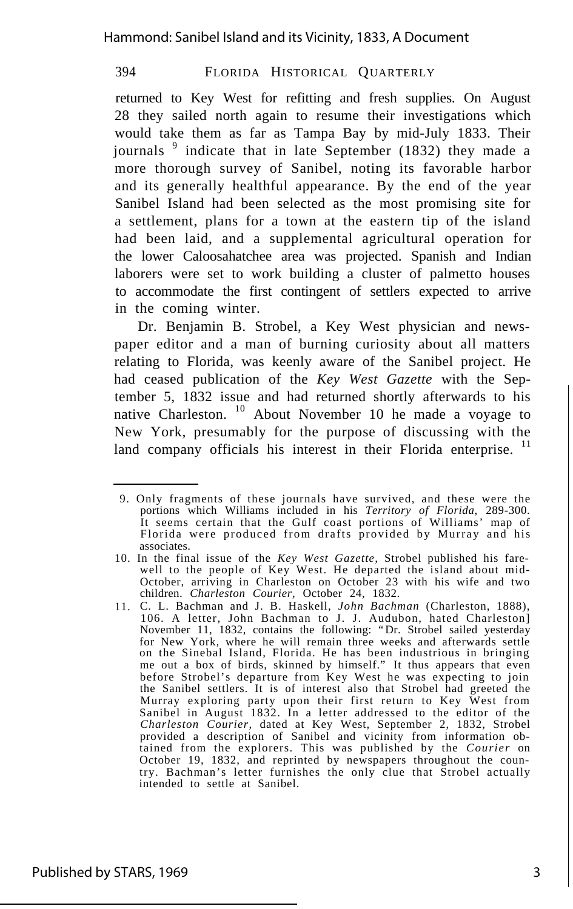returned to Key West for refitting and fresh supplies. On August 28 they sailed north again to resume their investigations which would take them as far as Tampa Bay by mid-July 1833. Their journals  $9$  indicate that in late September (1832) they made a more thorough survey of Sanibel, noting its favorable harbor and its generally healthful appearance. By the end of the year Sanibel Island had been selected as the most promising site for a settlement, plans for a town at the eastern tip of the island had been laid, and a supplemental agricultural operation for the lower Caloosahatchee area was projected. Spanish and Indian laborers were set to work building a cluster of palmetto houses to accommodate the first contingent of settlers expected to arrive in the coming winter.

Dr. Benjamin B. Strobel, a Key West physician and newspaper editor and a man of burning curiosity about all matters relating to Florida, was keenly aware of the Sanibel project. He had ceased publication of the *Key West Gazette* with the September 5, 1832 issue and had returned shortly afterwards to his native Charleston. <sup>10</sup> About November 10 he made a voyage to New York, presumably for the purpose of discussing with the land company officials his interest in their Florida enterprise.<sup>11</sup>

<sup>9.</sup> Only fragments of these journals have survived, and these were the portions which Williams included in his *Territory of Florida,* 289-300. It seems certain that the Gulf coast portions of Williams' map of Florida were produced from drafts provided by Murray and his associates.

<sup>10.</sup> In the final issue of the *Key West Gazette,* Strobel published his farewell to the people of Key West. He departed the island about mid-October, arriving in Charleston on October 23 with his wife and two children. *Charleston Courier,* October 24, 1832.

<sup>11.</sup> C. L. Bachman and J. B. Haskell, *John Bachman* (Charleston, 1888), 106. A letter, John Bachman to J. J. Audubon, hated Charleston] November 11, 1832, contains the following: "Dr. Strobel sailed yesterday for New York, where he will remain three weeks and afterwards settle on the Sinebal Island, Florida. He has been industrious in bringing me out a box of birds, skinned by himself." It thus appears that even before Strobel's departure from Key West he was expecting to join the Sanibel settlers. It is of interest also that Strobel had greeted the Murray exploring party upon their first return to Key West from Sanibel in August 1832. In a letter addressed to the editor of the *Charleston Courier,* dated at Key West, September 2, 1832, Strobel provided a description of Sanibel and vicinity from information obtained from the explorers. This was published by the *Courier* on October 19, 1832, and reprinted by newspapers throughout the country. Bachman's letter furnishes the only clue that Strobel actually intended to settle at Sanibel.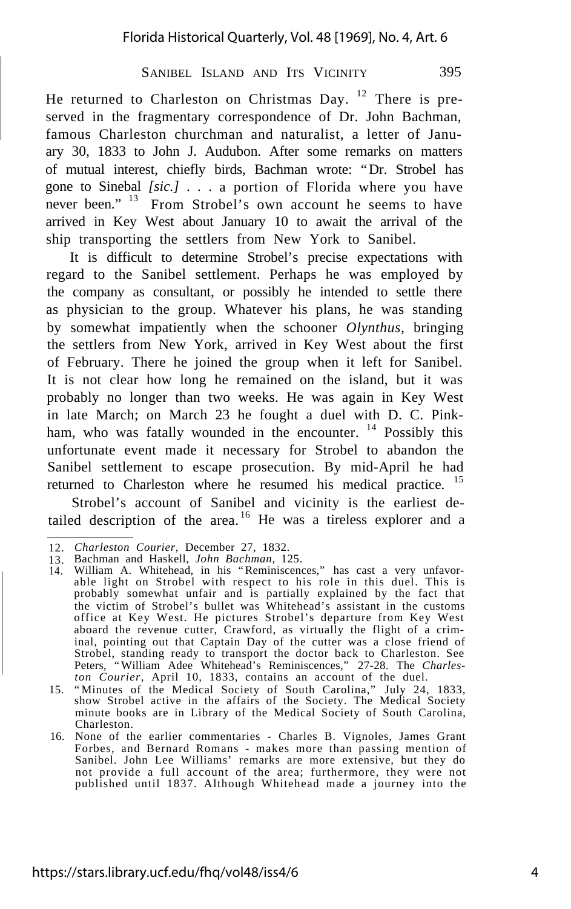He returned to Charleston on Christmas Day. <sup>12</sup> There is preserved in the fragmentary correspondence of Dr. John Bachman, famous Charleston churchman and naturalist, a letter of January 30, 1833 to John J. Audubon. After some remarks on matters of mutual interest, chiefly birds, Bachman wrote: "Dr. Strobel has gone to Sinebal *[sic.]* . . . a portion of Florida where you have never been." <sup>13</sup> From Strobel's own account he seems to have arrived in Key West about January 10 to await the arrival of the ship transporting the settlers from New York to Sanibel.

It is difficult to determine Strobel's precise expectations with regard to the Sanibel settlement. Perhaps he was employed by the company as consultant, or possibly he intended to settle there as physician to the group. Whatever his plans, he was standing by somewhat impatiently when the schooner *Olynthus,* bringing the settlers from New York, arrived in Key West about the first of February. There he joined the group when it left for Sanibel. It is not clear how long he remained on the island, but it was probably no longer than two weeks. He was again in Key West in late March; on March 23 he fought a duel with D. C. Pinkham, who was fatally wounded in the encounter. <sup>14</sup> Possibly this unfortunate event made it necessary for Strobel to abandon the Sanibel settlement to escape prosecution. By mid-April he had returned to Charleston where he resumed his medical practice.<sup>15</sup>

Strobel's account of Sanibel and vicinity is the earliest detailed description of the area.<sup>16</sup> He was a tireless explorer and a

<sup>12.</sup> *Charleston Courier,* December 27, 1832.

<sup>13.</sup> 14. Bachman and Haskell, *John Bachman,* 125. William A. Whitehead, in his "Reminiscences," has cast a very unfavorable light on Strobel with respect to his role in this duel. This is probably somewhat unfair and is partially explained by the fact that the victim of Strobel's bullet was Whitehead's assistant in the customs office at Key West. He pictures Strobel's departure from Key West aboard the revenue cutter, Crawford, as virtually the flight of a criminal, pointing out that Captain Day of the cutter was a close friend of Strobel, standing ready to transport the doctor back to Charleston. See Peters, "William Adee Whitehead's Reminiscences," 27-28. The *Charleston Courier,* April 10, 1833, contains an account of the duel.

<sup>15.</sup> "Minutes of the Medical Society of South Carolina," July 24, 1833, show Strobel active in the affairs of the Society. The Medical Society minute books are in Library of the Medical Society of South Carolina, Charleston.

<sup>16.</sup> None of the earlier commentaries - Charles B. Vignoles, James Grant Forbes, and Bernard Romans - makes more than passing mention of Sanibel. John Lee Williams' remarks are more extensive, but they do not provide a full account of the area; furthermore, they were not published until 1837. Although Whitehead made a journey into the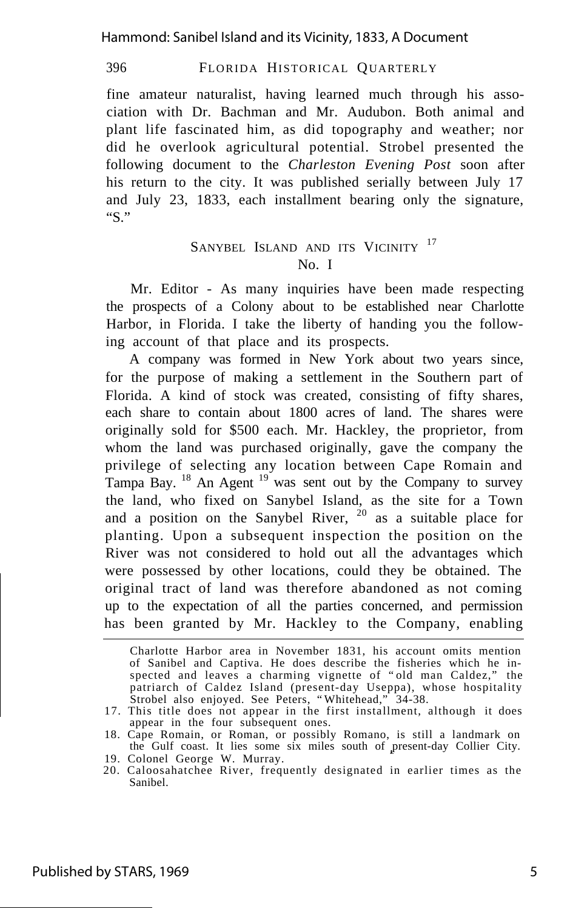Hammond: Sanibel Island and its Vicinity, 1833, A Document

396 FLORIDA HISTORICAL QUARTERLY

fine amateur naturalist, having learned much through his association with Dr. Bachman and Mr. Audubon. Both animal and plant life fascinated him, as did topography and weather; nor did he overlook agricultural potential. Strobel presented the following document to the *Charleston Evening Post* soon after his return to the city. It was published serially between July 17 and July 23, 1833, each installment bearing only the signature, "S."

## SANYBEL ISLAND AND ITS VICINITY<sup>17</sup> No. I

Mr. Editor - As many inquiries have been made respecting the prospects of a Colony about to be established near Charlotte Harbor, in Florida. I take the liberty of handing you the following account of that place and its prospects.

A company was formed in New York about two years since, for the purpose of making a settlement in the Southern part of Florida. A kind of stock was created, consisting of fifty shares, each share to contain about 1800 acres of land. The shares were originally sold for \$500 each. Mr. Hackley, the proprietor, from whom the land was purchased originally, gave the company the privilege of selecting any location between Cape Romain and Tampa Bay.  $^{18}$  An Agent  $^{19}$  was sent out by the Company to survey the land, who fixed on Sanybel Island, as the site for a Town and a position on the Sanybel River,  $20$  as a suitable place for planting. Upon a subsequent inspection the position on the River was not considered to hold out all the advantages which were possessed by other locations, could they be obtained. The original tract of land was therefore abandoned as not coming up to the expectation of all the parties concerned, and permission has been granted by Mr. Hackley to the Company, enabling

Charlotte Harbor area in November 1831, his account omits mention of Sanibel and Captiva. He does describe the fisheries which he inspected and leaves a charming vignette of "old man Caldez," the patriarch of Caldez Island (present-day Useppa), whose hospitality Strobel also enjoyed. See Peters, "Whitehead," 34-38.

<sup>17.</sup> This title does not appear in the first installment, although it does appear in the four subsequent ones.

<sup>18.</sup> Cape Romain, or Roman, or possibly Romano, is still a landmark on the Gulf coast. It lies some six miles south of present-day Collier City.

<sup>19.</sup> Colonel George W. Murray.

<sup>20.</sup> Caloosahatchee River, frequently designated in earlier times as the Sanibel.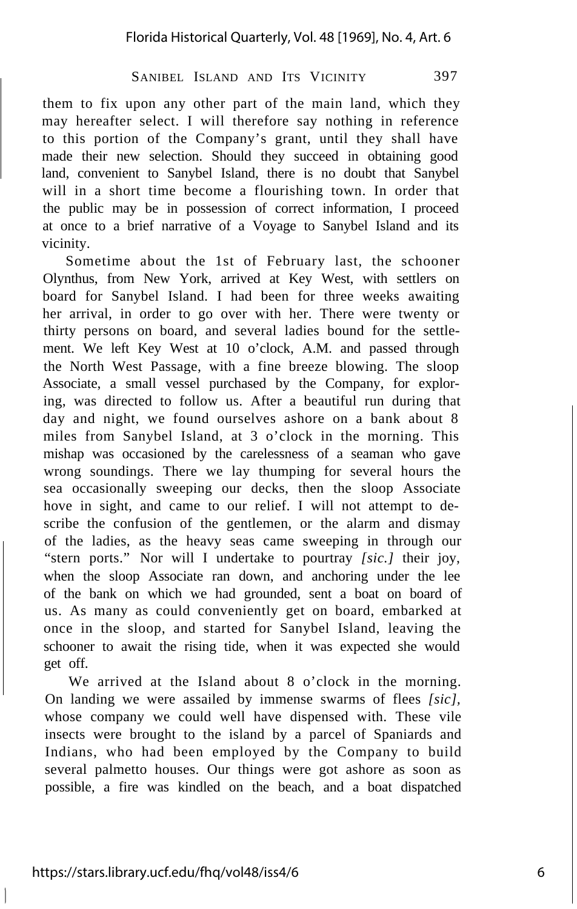them to fix upon any other part of the main land, which they may hereafter select. I will therefore say nothing in reference to this portion of the Company's grant, until they shall have made their new selection. Should they succeed in obtaining good land, convenient to Sanybel Island, there is no doubt that Sanybel will in a short time become a flourishing town. In order that the public may be in possession of correct information, I proceed at once to a brief narrative of a Voyage to Sanybel Island and its vicinity.

Sometime about the 1st of February last, the schooner Olynthus, from New York, arrived at Key West, with settlers on board for Sanybel Island. I had been for three weeks awaiting her arrival, in order to go over with her. There were twenty or thirty persons on board, and several ladies bound for the settlement. We left Key West at 10 o'clock, A.M. and passed through the North West Passage, with a fine breeze blowing. The sloop Associate, a small vessel purchased by the Company, for exploring, was directed to follow us. After a beautiful run during that day and night, we found ourselves ashore on a bank about 8 miles from Sanybel Island, at 3 o'clock in the morning. This mishap was occasioned by the carelessness of a seaman who gave wrong soundings. There we lay thumping for several hours the sea occasionally sweeping our decks, then the sloop Associate hove in sight, and came to our relief. I will not attempt to describe the confusion of the gentlemen, or the alarm and dismay of the ladies, as the heavy seas came sweeping in through our "stern ports." Nor will I undertake to pourtray *[sic.]* their joy, when the sloop Associate ran down, and anchoring under the lee of the bank on which we had grounded, sent a boat on board of us. As many as could conveniently get on board, embarked at once in the sloop, and started for Sanybel Island, leaving the schooner to await the rising tide, when it was expected she would get off.

We arrived at the Island about 8 o'clock in the morning. On landing we were assailed by immense swarms of flees *[sic],* whose company we could well have dispensed with. These vile insects were brought to the island by a parcel of Spaniards and Indians, who had been employed by the Company to build several palmetto houses. Our things were got ashore as soon as possible, a fire was kindled on the beach, and a boat dispatched

Ì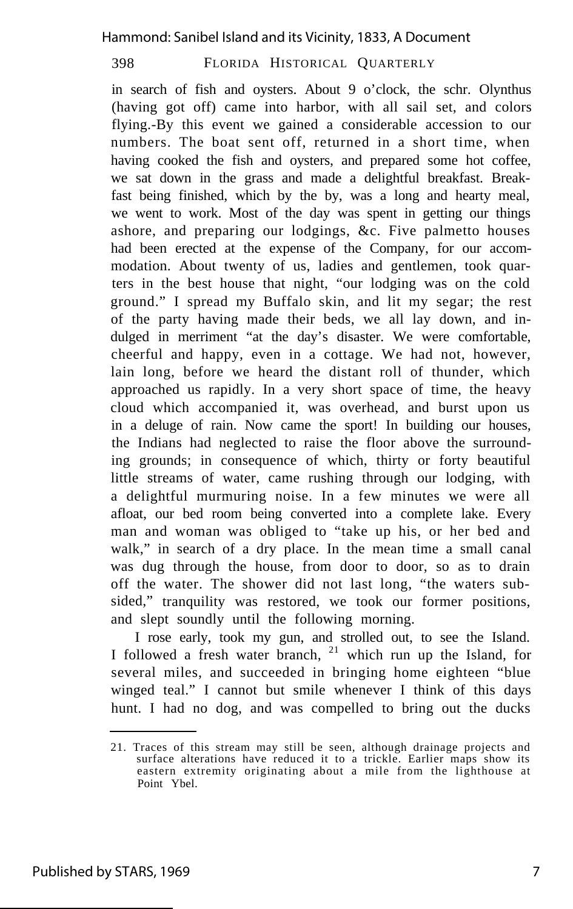in search of fish and oysters. About 9 o'clock, the schr. Olynthus (having got off) came into harbor, with all sail set, and colors flying.-By this event we gained a considerable accession to our numbers. The boat sent off, returned in a short time, when having cooked the fish and oysters, and prepared some hot coffee, we sat down in the grass and made a delightful breakfast. Breakfast being finished, which by the by, was a long and hearty meal, we went to work. Most of the day was spent in getting our things ashore, and preparing our lodgings, &c. Five palmetto houses had been erected at the expense of the Company, for our accommodation. About twenty of us, ladies and gentlemen, took quarters in the best house that night, "our lodging was on the cold ground." I spread my Buffalo skin, and lit my segar; the rest of the party having made their beds, we all lay down, and indulged in merriment "at the day's disaster. We were comfortable, cheerful and happy, even in a cottage. We had not, however, lain long, before we heard the distant roll of thunder, which approached us rapidly. In a very short space of time, the heavy cloud which accompanied it, was overhead, and burst upon us in a deluge of rain. Now came the sport! In building our houses, the Indians had neglected to raise the floor above the surrounding grounds; in consequence of which, thirty or forty beautiful little streams of water, came rushing through our lodging, with a delightful murmuring noise. In a few minutes we were all afloat, our bed room being converted into a complete lake. Every man and woman was obliged to "take up his, or her bed and walk," in search of a dry place. In the mean time a small canal was dug through the house, from door to door, so as to drain off the water. The shower did not last long, "the waters subsided," tranquility was restored, we took our former positions, and slept soundly until the following morning.

I rose early, took my gun, and strolled out, to see the Island. I followed a fresh water branch, <sup>21</sup> which run up the Island, for several miles, and succeeded in bringing home eighteen "blue winged teal." I cannot but smile whenever I think of this days hunt. I had no dog, and was compelled to bring out the ducks

<sup>21.</sup> Traces of this stream may still be seen, although drainage projects and surface alterations have reduced it to a trickle. Earlier maps show its eastern extremity originating about a mile from the lighthouse at Point Ybel.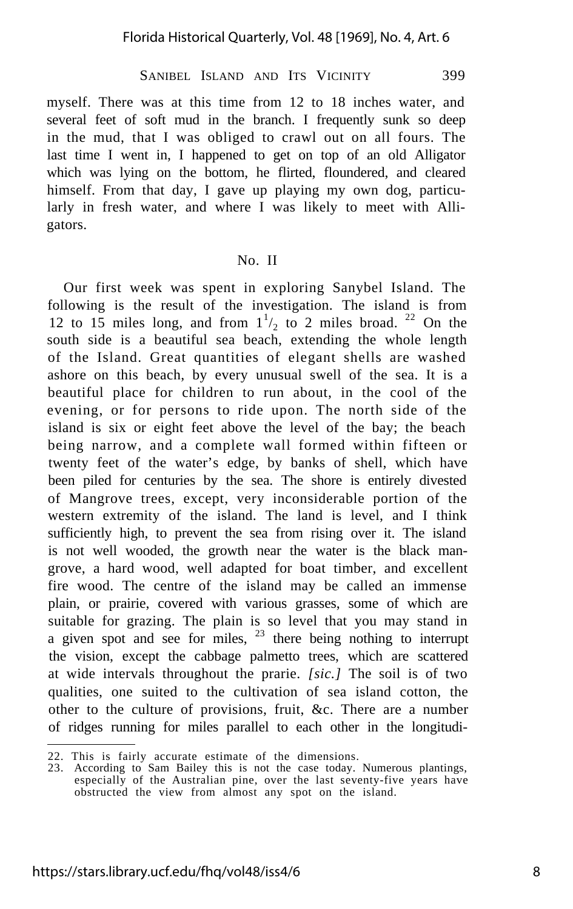myself. There was at this time from 12 to 18 inches water, and several feet of soft mud in the branch. I frequently sunk so deep in the mud, that I was obliged to crawl out on all fours. The last time I went in, I happened to get on top of an old Alligator which was lying on the bottom, he flirted, floundered, and cleared himself. From that day, I gave up playing my own dog, particularly in fresh water, and where I was likely to meet with Alligators.

#### No. II

Our first week was spent in exploring Sanybel Island. The following is the result of the investigation. The island is from 12 to 15 miles long, and from  $1\frac{1}{2}$  to 2 miles broad. <sup>22</sup> On the south side is a beautiful sea beach, extending the whole length of the Island. Great quantities of elegant shells are washed ashore on this beach, by every unusual swell of the sea. It is a beautiful place for children to run about, in the cool of the evening, or for persons to ride upon. The north side of the island is six or eight feet above the level of the bay; the beach being narrow, and a complete wall formed within fifteen or twenty feet of the water's edge, by banks of shell, which have been piled for centuries by the sea. The shore is entirely divested of Mangrove trees, except, very inconsiderable portion of the western extremity of the island. The land is level, and I think sufficiently high, to prevent the sea from rising over it. The island is not well wooded, the growth near the water is the black mangrove, a hard wood, well adapted for boat timber, and excellent fire wood. The centre of the island may be called an immense plain, or prairie, covered with various grasses, some of which are suitable for grazing. The plain is so level that you may stand in a given spot and see for miles,  $23$  there being nothing to interrupt the vision, except the cabbage palmetto trees, which are scattered at wide intervals throughout the prarie. *[sic.]* The soil is of two qualities, one suited to the cultivation of sea island cotton, the other to the culture of provisions, fruit, &c. There are a number of ridges running for miles parallel to each other in the longitudi-

<sup>22.</sup> This is fairly accurate estimate of the dimensions.

<sup>23.</sup> According to Sam Bailey this is not the case today. Numerous plantings, especially of the Australian pine, over the last seventy-five years have obstructed the view from almost any spot on the island.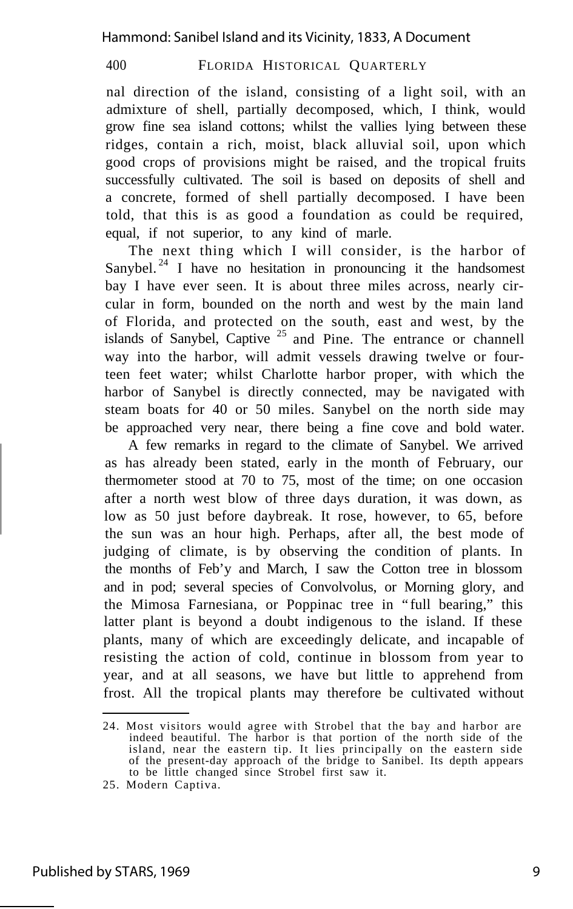nal direction of the island, consisting of a light soil, with an admixture of shell, partially decomposed, which, I think, would grow fine sea island cottons; whilst the vallies lying between these ridges, contain a rich, moist, black alluvial soil, upon which good crops of provisions might be raised, and the tropical fruits successfully cultivated. The soil is based on deposits of shell and a concrete, formed of shell partially decomposed. I have been told, that this is as good a foundation as could be required, equal, if not superior, to any kind of marle.

The next thing which I will consider, is the harbor of Sanybel.<sup>24</sup> I have no hesitation in pronouncing it the handsomest bay I have ever seen. It is about three miles across, nearly circular in form, bounded on the north and west by the main land of Florida, and protected on the south, east and west, by the islands of Sanybel, Captive  $25$  and Pine. The entrance or channell way into the harbor, will admit vessels drawing twelve or fourteen feet water; whilst Charlotte harbor proper, with which the harbor of Sanybel is directly connected, may be navigated with steam boats for 40 or 50 miles. Sanybel on the north side may be approached very near, there being a fine cove and bold water.

A few remarks in regard to the climate of Sanybel. We arrived as has already been stated, early in the month of February, our thermometer stood at 70 to 75, most of the time; on one occasion after a north west blow of three days duration, it was down, as low as 50 just before daybreak. It rose, however, to 65, before the sun was an hour high. Perhaps, after all, the best mode of judging of climate, is by observing the condition of plants. In the months of Feb'y and March, I saw the Cotton tree in blossom and in pod; several species of Convolvolus, or Morning glory, and the Mimosa Farnesiana, or Poppinac tree in "full bearing," this latter plant is beyond a doubt indigenous to the island. If these plants, many of which are exceedingly delicate, and incapable of resisting the action of cold, continue in blossom from year to year, and at all seasons, we have but little to apprehend from frost. All the tropical plants may therefore be cultivated without

<sup>24.</sup> Most visitors would agree with Strobel that the bay and harbor are indeed beautiful. The harbor is that portion of the north side of the island, near the eastern tip. It lies principally on the eastern side of the present-day approach of the bridge to Sanibel. Its depth appears to be little changed since Strobel first saw it.

<sup>25.</sup> Modern Captiva.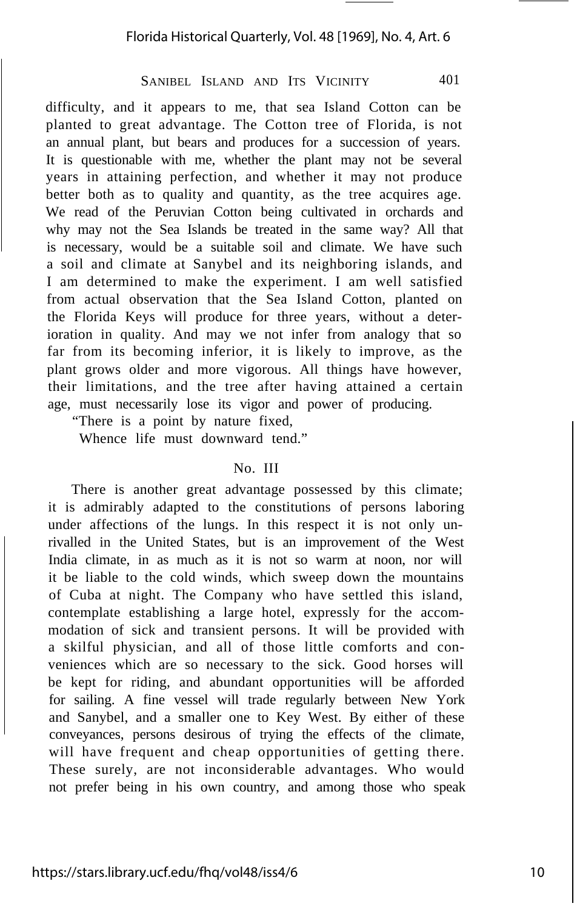difficulty, and it appears to me, that sea Island Cotton can be planted to great advantage. The Cotton tree of Florida, is not an annual plant, but bears and produces for a succession of years. It is questionable with me, whether the plant may not be several years in attaining perfection, and whether it may not produce better both as to quality and quantity, as the tree acquires age. We read of the Peruvian Cotton being cultivated in orchards and why may not the Sea Islands be treated in the same way? All that is necessary, would be a suitable soil and climate. We have such a soil and climate at Sanybel and its neighboring islands, and I am determined to make the experiment. I am well satisfied from actual observation that the Sea Island Cotton, planted on the Florida Keys will produce for three years, without a deterioration in quality. And may we not infer from analogy that so far from its becoming inferior, it is likely to improve, as the plant grows older and more vigorous. All things have however, their limitations, and the tree after having attained a certain age, must necessarily lose its vigor and power of producing.

"There is a point by nature fixed,

Whence life must downward tend."

#### No. III

There is another great advantage possessed by this climate; it is admirably adapted to the constitutions of persons laboring under affections of the lungs. In this respect it is not only unrivalled in the United States, but is an improvement of the West India climate, in as much as it is not so warm at noon, nor will it be liable to the cold winds, which sweep down the mountains of Cuba at night. The Company who have settled this island, contemplate establishing a large hotel, expressly for the accommodation of sick and transient persons. It will be provided with a skilful physician, and all of those little comforts and conveniences which are so necessary to the sick. Good horses will be kept for riding, and abundant opportunities will be afforded for sailing. A fine vessel will trade regularly between New York and Sanybel, and a smaller one to Key West. By either of these conveyances, persons desirous of trying the effects of the climate, will have frequent and cheap opportunities of getting there. These surely, are not inconsiderable advantages. Who would not prefer being in his own country, and among those who speak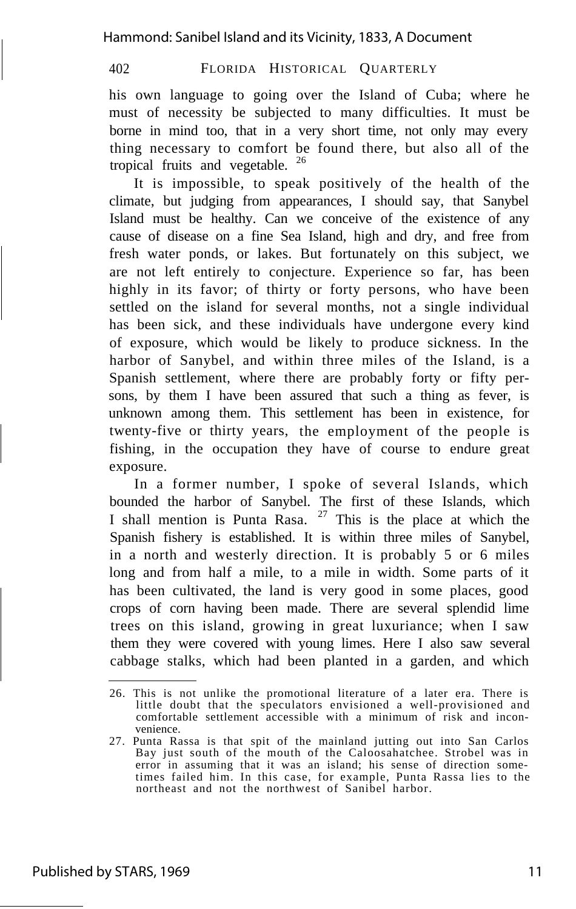Hammond: Sanibel Island and its Vicinity, 1833, A Document

402 FLORIDA HISTORICAL QUARTERLY

his own language to going over the Island of Cuba; where he must of necessity be subjected to many difficulties. It must be borne in mind too, that in a very short time, not only may every thing necessary to comfort be found there, but also all of the tropical fruits and vegetable. <sup>26</sup>

It is impossible, to speak positively of the health of the climate, but judging from appearances, I should say, that Sanybel Island must be healthy. Can we conceive of the existence of any cause of disease on a fine Sea Island, high and dry, and free from fresh water ponds, or lakes. But fortunately on this subject, we are not left entirely to conjecture. Experience so far, has been highly in its favor; of thirty or forty persons, who have been settled on the island for several months, not a single individual has been sick, and these individuals have undergone every kind of exposure, which would be likely to produce sickness. In the harbor of Sanybel, and within three miles of the Island, is a Spanish settlement, where there are probably forty or fifty persons, by them I have been assured that such a thing as fever, is unknown among them. This settlement has been in existence, for twenty-five or thirty years, the employment of the people is fishing, in the occupation they have of course to endure great exposure.

In a former number, I spoke of several Islands, which bounded the harbor of Sanybel. The first of these Islands, which I shall mention is Punta Rasa.  $27$  This is the place at which the Spanish fishery is established. It is within three miles of Sanybel, in a north and westerly direction. It is probably 5 or 6 miles long and from half a mile, to a mile in width. Some parts of it has been cultivated, the land is very good in some places, good crops of corn having been made. There are several splendid lime trees on this island, growing in great luxuriance; when I saw them they were covered with young limes. Here I also saw several cabbage stalks, which had been planted in a garden, and which

<sup>26.</sup> This is not unlike the promotional literature of a later era. There is little doubt that the speculators envisioned a well-provisioned and comfortable settlement accessible with a minimum of risk and inconvenience.

<sup>27.</sup> Punta Rassa is that spit of the mainland jutting out into San Carlos Bay just south of the mouth of the Caloosahatchee. Strobel was in error in assuming that it was an island; his sense of direction sometimes failed him. In this case, for example, Punta Rassa lies to the northeast and not the northwest of Sanibel harbor.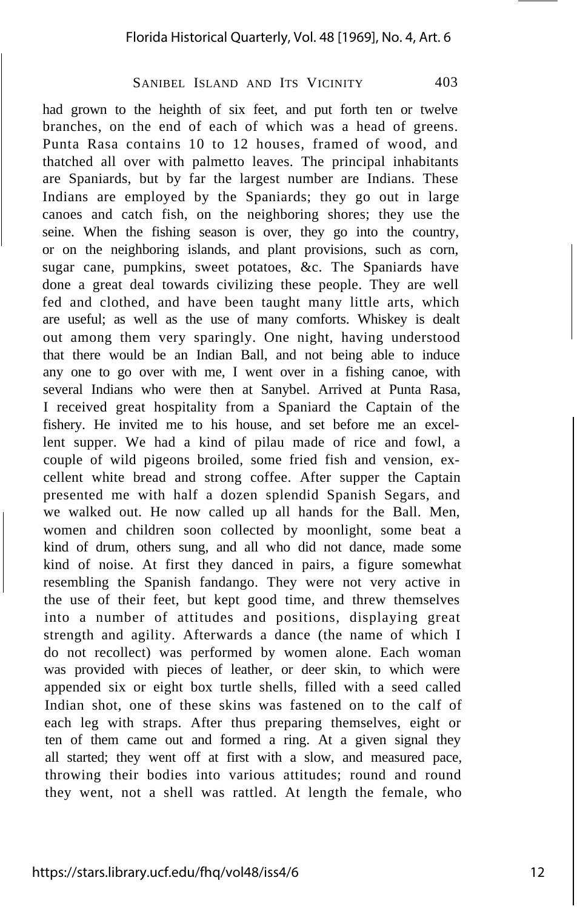had grown to the heighth of six feet, and put forth ten or twelve branches, on the end of each of which was a head of greens. Punta Rasa contains 10 to 12 houses, framed of wood, and thatched all over with palmetto leaves. The principal inhabitants are Spaniards, but by far the largest number are Indians. These Indians are employed by the Spaniards; they go out in large canoes and catch fish, on the neighboring shores; they use the seine. When the fishing season is over, they go into the country, or on the neighboring islands, and plant provisions, such as corn, sugar cane, pumpkins, sweet potatoes, &c. The Spaniards have done a great deal towards civilizing these people. They are well fed and clothed, and have been taught many little arts, which are useful; as well as the use of many comforts. Whiskey is dealt out among them very sparingly. One night, having understood that there would be an Indian Ball, and not being able to induce any one to go over with me, I went over in a fishing canoe, with several Indians who were then at Sanybel. Arrived at Punta Rasa, I received great hospitality from a Spaniard the Captain of the fishery. He invited me to his house, and set before me an excellent supper. We had a kind of pilau made of rice and fowl, a couple of wild pigeons broiled, some fried fish and vension, excellent white bread and strong coffee. After supper the Captain presented me with half a dozen splendid Spanish Segars, and we walked out. He now called up all hands for the Ball. Men, women and children soon collected by moonlight, some beat a kind of drum, others sung, and all who did not dance, made some kind of noise. At first they danced in pairs, a figure somewhat resembling the Spanish fandango. They were not very active in the use of their feet, but kept good time, and threw themselves into a number of attitudes and positions, displaying great strength and agility. Afterwards a dance (the name of which I do not recollect) was performed by women alone. Each woman was provided with pieces of leather, or deer skin, to which were appended six or eight box turtle shells, filled with a seed called Indian shot, one of these skins was fastened on to the calf of each leg with straps. After thus preparing themselves, eight or ten of them came out and formed a ring. At a given signal they all started; they went off at first with a slow, and measured pace, throwing their bodies into various attitudes; round and round they went, not a shell was rattled. At length the female, who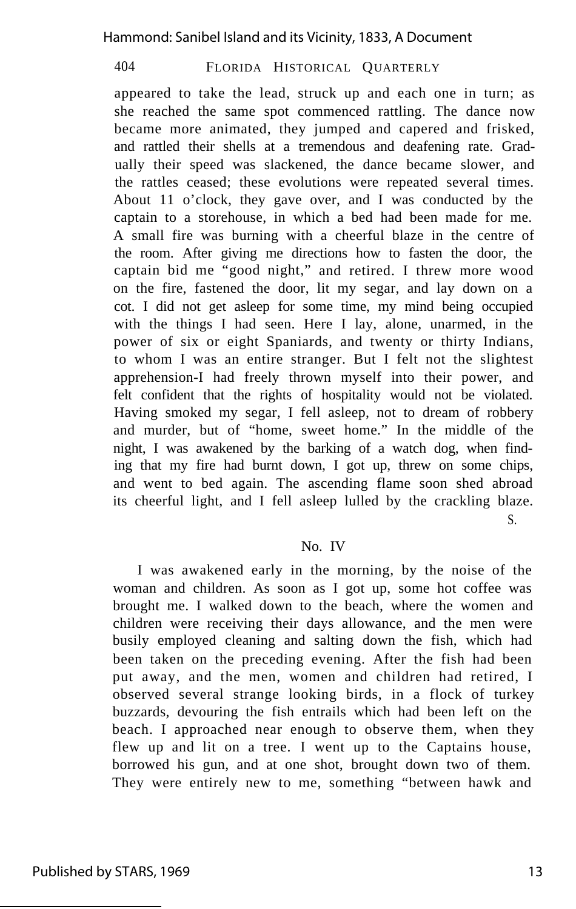appeared to take the lead, struck up and each one in turn; as she reached the same spot commenced rattling. The dance now became more animated, they jumped and capered and frisked, and rattled their shells at a tremendous and deafening rate. Gradually their speed was slackened, the dance became slower, and the rattles ceased; these evolutions were repeated several times. About 11 o'clock, they gave over, and I was conducted by the captain to a storehouse, in which a bed had been made for me. A small fire was burning with a cheerful blaze in the centre of the room. After giving me directions how to fasten the door, the captain bid me "good night," and retired. I threw more wood on the fire, fastened the door, lit my segar, and lay down on a cot. I did not get asleep for some time, my mind being occupied with the things I had seen. Here I lay, alone, unarmed, in the power of six or eight Spaniards, and twenty or thirty Indians, to whom I was an entire stranger. But I felt not the slightest apprehension-I had freely thrown myself into their power, and felt confident that the rights of hospitality would not be violated. Having smoked my segar, I fell asleep, not to dream of robbery and murder, but of "home, sweet home." In the middle of the night, I was awakened by the barking of a watch dog, when finding that my fire had burnt down, I got up, threw on some chips, and went to bed again. The ascending flame soon shed abroad its cheerful light, and I fell asleep lulled by the crackling blaze. S.

#### No. IV

I was awakened early in the morning, by the noise of the woman and children. As soon as I got up, some hot coffee was brought me. I walked down to the beach, where the women and children were receiving their days allowance, and the men were busily employed cleaning and salting down the fish, which had been taken on the preceding evening. After the fish had been put away, and the men, women and children had retired, I observed several strange looking birds, in a flock of turkey buzzards, devouring the fish entrails which had been left on the beach. I approached near enough to observe them, when they flew up and lit on a tree. I went up to the Captains house, borrowed his gun, and at one shot, brought down two of them. They were entirely new to me, something "between hawk and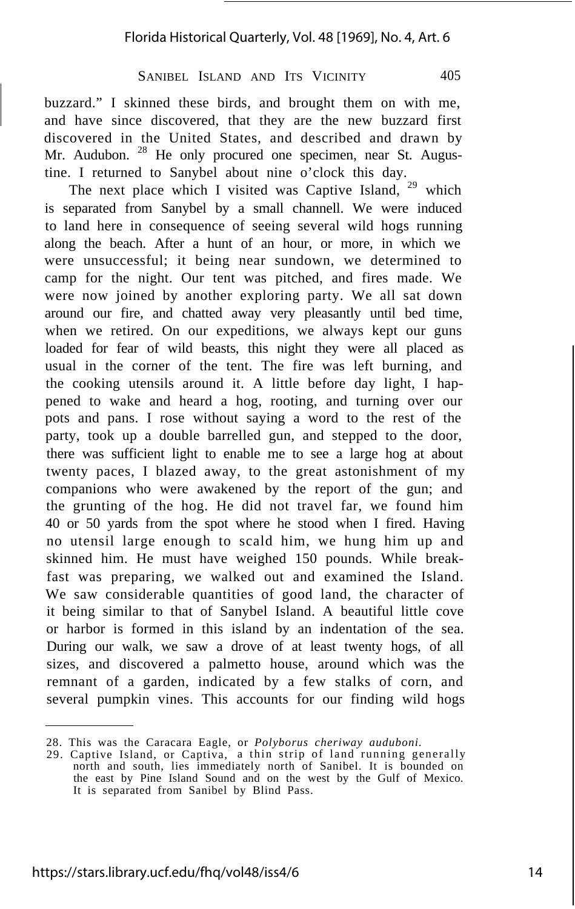buzzard." I skinned these birds, and brought them on with me, and have since discovered, that they are the new buzzard first discovered in the United States, and described and drawn by Mr. Audubon. <sup>28</sup> He only procured one specimen, near St. Augustine. I returned to Sanybel about nine o'clock this day.

The next place which I visited was Captive Island, <sup>29</sup> which is separated from Sanybel by a small channell. We were induced to land here in consequence of seeing several wild hogs running along the beach. After a hunt of an hour, or more, in which we were unsuccessful; it being near sundown, we determined to camp for the night. Our tent was pitched, and fires made. We were now joined by another exploring party. We all sat down around our fire, and chatted away very pleasantly until bed time, when we retired. On our expeditions, we always kept our guns loaded for fear of wild beasts, this night they were all placed as usual in the corner of the tent. The fire was left burning, and the cooking utensils around it. A little before day light, I happened to wake and heard a hog, rooting, and turning over our pots and pans. I rose without saying a word to the rest of the party, took up a double barrelled gun, and stepped to the door, there was sufficient light to enable me to see a large hog at about twenty paces, I blazed away, to the great astonishment of my companions who were awakened by the report of the gun; and the grunting of the hog. He did not travel far, we found him 40 or 50 yards from the spot where he stood when I fired. Having no utensil large enough to scald him, we hung him up and skinned him. He must have weighed 150 pounds. While breakfast was preparing, we walked out and examined the Island. We saw considerable quantities of good land, the character of it being similar to that of Sanybel Island. A beautiful little cove or harbor is formed in this island by an indentation of the sea. During our walk, we saw a drove of at least twenty hogs, of all sizes, and discovered a palmetto house, around which was the remnant of a garden, indicated by a few stalks of corn, and several pumpkin vines. This accounts for our finding wild hogs

<sup>28.</sup> This was the Caracara Eagle, or *Polyborus cheriway auduboni.*

<sup>29.</sup> Captive Island, or Captiva, a thin strip of land running generally north and south, lies immediately north of Sanibel. It is bounded on the east by Pine Island Sound and on the west by the Gulf of Mexico. It is separated from Sanibel by Blind Pass.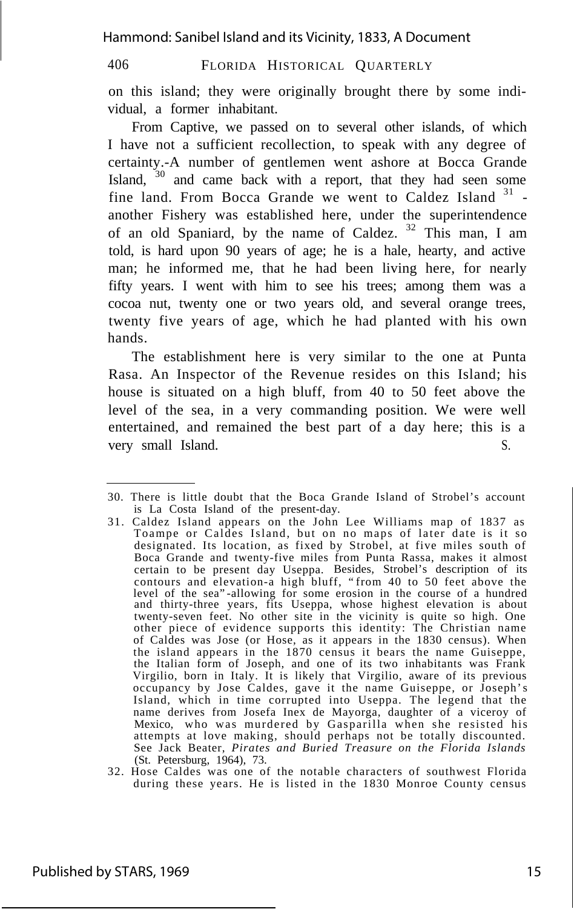on this island; they were originally brought there by some individual, a former inhabitant.

From Captive, we passed on to several other islands, of which I have not a sufficient recollection, to speak with any degree of certainty.-A number of gentlemen went ashore at Bocca Grande Island,  $30$  and came back with a report, that they had seen some fine land. From Bocca Grande we went to Caldez Island <sup>31</sup> another Fishery was established here, under the superintendence of an old Spaniard, by the name of Caldez.  $32$  This man, I am told, is hard upon 90 years of age; he is a hale, hearty, and active man; he informed me, that he had been living here, for nearly fifty years. I went with him to see his trees; among them was a cocoa nut, twenty one or two years old, and several orange trees, twenty five years of age, which he had planted with his own hands.

The establishment here is very similar to the one at Punta Rasa. An Inspector of the Revenue resides on this Island; his house is situated on a high bluff, from 40 to 50 feet above the level of the sea, in a very commanding position. We were well entertained, and remained the best part of a day here; this is a very small Island. S.

<sup>30.</sup> There is little doubt that the Boca Grande Island of Strobel's account is La Costa Island of the present-day.

<sup>31.</sup> Caldez Island appears on the John Lee Williams map of 1837 as Toampe or Caldes Island, but on no maps of later date is it so designated. Its location, as fixed by Strobel, at five miles south of Boca Grande and twenty-five miles from Punta Rassa, makes it almost certain to be present day Useppa. Besides, Strobel's description of its contours and elevation-a high bluff, "from 40 to 50 feet above the level of the sea"-allowing for some erosion in the course of a hundred and thirty-three years, fits Useppa, whose highest elevation is about twenty-seven feet. No other site in the vicinity is quite so high. One other piece of evidence supports this identity: The Christian name of Caldes was Jose (or Hose, as it appears in the 1830 census). When the island appears in the 1870 census it bears the name Guiseppe, the Italian form of Joseph, and one of its two inhabitants was Frank Virgilio, born in Italy. It is likely that Virgilio, aware of its previous occupancy by Jose Caldes, gave it the name Guiseppe, or Joseph's Island, which in time corrupted into Useppa. The legend that the name derives from Josefa Inex de Mayorga, daughter of a viceroy of Mexico, who was murdered by Gasparilla when she resisted his attempts at love making, should perhaps not be totally discounted. See Jack Beater, *Pirates and Buried Treasure on the Florida Islands* (St. Petersburg, 1964), 73.

<sup>32.</sup> Hose Caldes was one of the notable characters of southwest Florida during these years. He is listed in the 1830 Monroe County census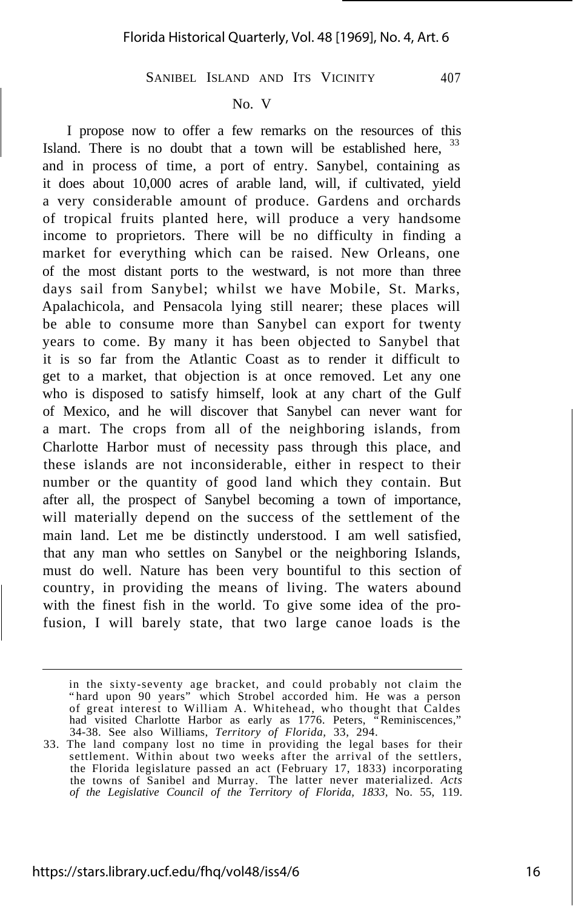#### No. V

I propose now to offer a few remarks on the resources of this Island. There is no doubt that a town will be established here, <sup>33</sup> and in process of time, a port of entry. Sanybel, containing as it does about 10,000 acres of arable land, will, if cultivated, yield a very considerable amount of produce. Gardens and orchards of tropical fruits planted here, will produce a very handsome income to proprietors. There will be no difficulty in finding a market for everything which can be raised. New Orleans, one of the most distant ports to the westward, is not more than three days sail from Sanybel; whilst we have Mobile, St. Marks, Apalachicola, and Pensacola lying still nearer; these places will be able to consume more than Sanybel can export for twenty years to come. By many it has been objected to Sanybel that it is so far from the Atlantic Coast as to render it difficult to get to a market, that objection is at once removed. Let any one who is disposed to satisfy himself, look at any chart of the Gulf of Mexico, and he will discover that Sanybel can never want for a mart. The crops from all of the neighboring islands, from Charlotte Harbor must of necessity pass through this place, and these islands are not inconsiderable, either in respect to their number or the quantity of good land which they contain. But after all, the prospect of Sanybel becoming a town of importance, will materially depend on the success of the settlement of the main land. Let me be distinctly understood. I am well satisfied, that any man who settles on Sanybel or the neighboring Islands, must do well. Nature has been very bountiful to this section of country, in providing the means of living. The waters abound with the finest fish in the world. To give some idea of the profusion, I will barely state, that two large canoe loads is the

in the sixty-seventy age bracket, and could probably not claim the "hard upon 90 years" which Strobel accorded him. He was a person of great interest to William A. Whitehead, who thought that Caldes had visited Charlotte Harbor as early as 1776. Peters, "Reminiscences," 34-38. See also Williams, *Territory of Florida,* 33, 294.

<sup>33.</sup> The land company lost no time in providing the legal bases for their settlement. Within about two weeks after the arrival of the settlers, the Florida legislature passed an act (February 17, 1833) incorporating the towns of Sanibel and Murray. The latter never materialized. *Acts of the Legislative Council of the Territory of Florida, 1833,* No. 55, 119.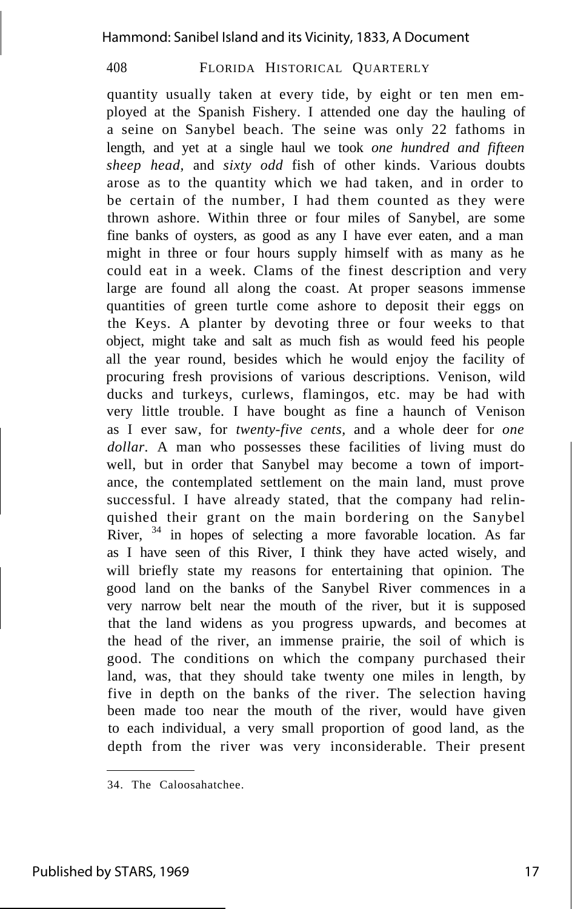quantity usually taken at every tide, by eight or ten men employed at the Spanish Fishery. I attended one day the hauling of a seine on Sanybel beach. The seine was only 22 fathoms in length, and yet at a single haul we took *one hundred and fifteen sheep head,* and *sixty odd* fish of other kinds. Various doubts arose as to the quantity which we had taken, and in order to be certain of the number, I had them counted as they were thrown ashore. Within three or four miles of Sanybel, are some fine banks of oysters, as good as any I have ever eaten, and a man might in three or four hours supply himself with as many as he could eat in a week. Clams of the finest description and very large are found all along the coast. At proper seasons immense quantities of green turtle come ashore to deposit their eggs on the Keys. A planter by devoting three or four weeks to that object, might take and salt as much fish as would feed his people all the year round, besides which he would enjoy the facility of procuring fresh provisions of various descriptions. Venison, wild ducks and turkeys, curlews, flamingos, etc. may be had with very little trouble. I have bought as fine a haunch of Venison as I ever saw, for *twenty-five cents,* and a whole deer for *one dollar.* A man who possesses these facilities of living must do well, but in order that Sanybel may become a town of importance, the contemplated settlement on the main land, must prove successful. I have already stated, that the company had relinquished their grant on the main bordering on the Sanybel River,  $34$  in hopes of selecting a more favorable location. As far as I have seen of this River, I think they have acted wisely, and will briefly state my reasons for entertaining that opinion. The good land on the banks of the Sanybel River commences in a very narrow belt near the mouth of the river, but it is supposed that the land widens as you progress upwards, and becomes at the head of the river, an immense prairie, the soil of which is good. The conditions on which the company purchased their land, was, that they should take twenty one miles in length, by five in depth on the banks of the river. The selection having been made too near the mouth of the river, would have given to each individual, a very small proportion of good land, as the depth from the river was very inconsiderable. Their present

<sup>34.</sup> The Caloosahatchee.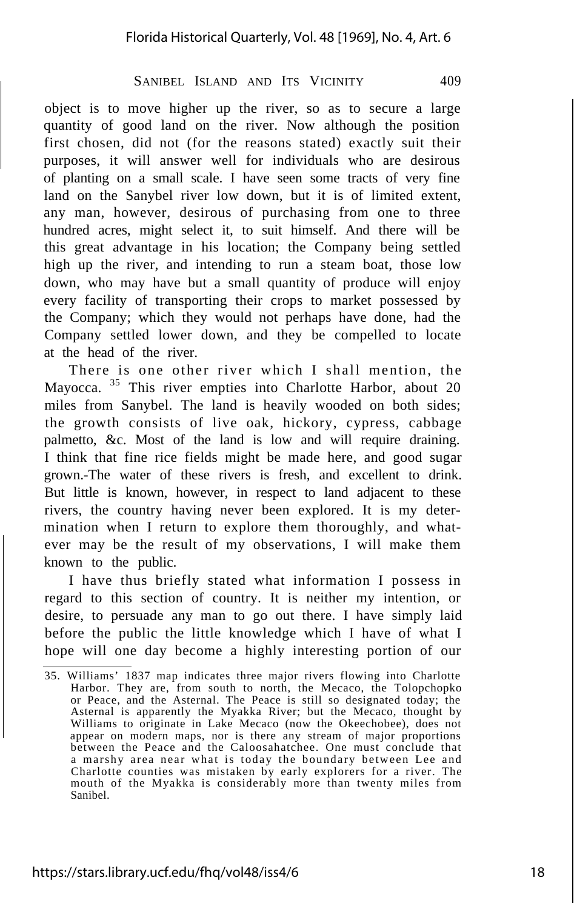object is to move higher up the river, so as to secure a large quantity of good land on the river. Now although the position first chosen, did not (for the reasons stated) exactly suit their purposes, it will answer well for individuals who are desirous of planting on a small scale. I have seen some tracts of very fine land on the Sanybel river low down, but it is of limited extent, any man, however, desirous of purchasing from one to three hundred acres, might select it, to suit himself. And there will be this great advantage in his location; the Company being settled high up the river, and intending to run a steam boat, those low down, who may have but a small quantity of produce will enjoy every facility of transporting their crops to market possessed by the Company; which they would not perhaps have done, had the Company settled lower down, and they be compelled to locate at the head of the river.

There is one other river which I shall mention, the Mayocca. <sup>35</sup> This river empties into Charlotte Harbor, about 20 miles from Sanybel. The land is heavily wooded on both sides; the growth consists of live oak, hickory, cypress, cabbage palmetto, &c. Most of the land is low and will require draining. I think that fine rice fields might be made here, and good sugar grown.-The water of these rivers is fresh, and excellent to drink. But little is known, however, in respect to land adjacent to these rivers, the country having never been explored. It is my determination when I return to explore them thoroughly, and whatever may be the result of my observations, I will make them known to the public.

I have thus briefly stated what information I possess in regard to this section of country. It is neither my intention, or desire, to persuade any man to go out there. I have simply laid before the public the little knowledge which I have of what I hope will one day become a highly interesting portion of our

<sup>35.</sup> Williams' 1837 map indicates three major rivers flowing into Charlotte Harbor. They are, from south to north, the Mecaco, the Tolopchopko or Peace, and the Asternal. The Peace is still so designated today; the Asternal is apparently the Myakka River; but the Mecaco, thought by Williams to originate in Lake Mecaco (now the Okeechobee), does not appear on modern maps, nor is there any stream of major proportions between the Peace and the Caloosahatchee. One must conclude that a marshy area near what is today the boundary between Lee and Charlotte counties was mistaken by early explorers for a river. The mouth of the Myakka is considerably more than twenty miles from Sanibel.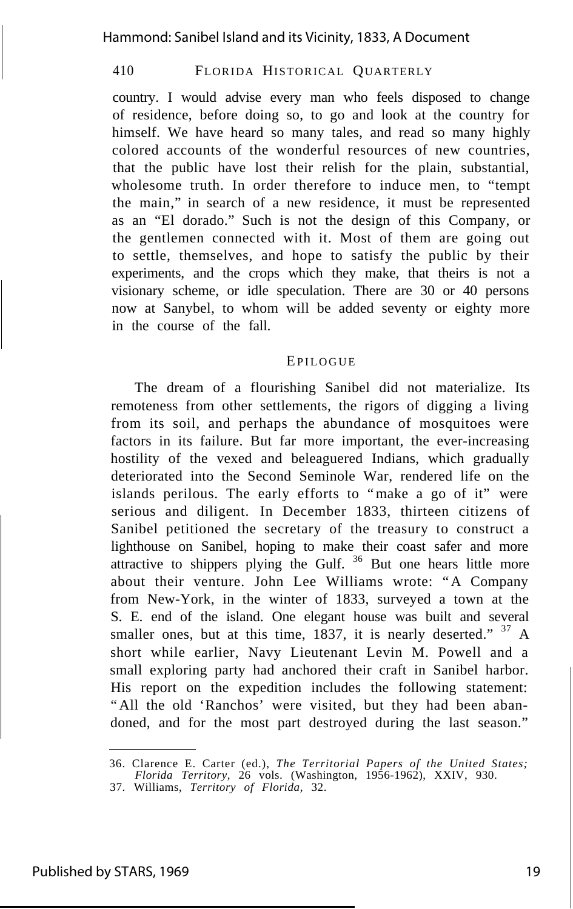country. I would advise every man who feels disposed to change of residence, before doing so, to go and look at the country for himself. We have heard so many tales, and read so many highly colored accounts of the wonderful resources of new countries, that the public have lost their relish for the plain, substantial, wholesome truth. In order therefore to induce men, to "tempt the main," in search of a new residence, it must be represented as an "El dorado." Such is not the design of this Company, or the gentlemen connected with it. Most of them are going out to settle, themselves, and hope to satisfy the public by their experiments, and the crops which they make, that theirs is not a visionary scheme, or idle speculation. There are 30 or 40 persons now at Sanybel, to whom will be added seventy or eighty more in the course of the fall.

#### **EPILOGUE**

The dream of a flourishing Sanibel did not materialize. Its remoteness from other settlements, the rigors of digging a living from its soil, and perhaps the abundance of mosquitoes were factors in its failure. But far more important, the ever-increasing hostility of the vexed and beleaguered Indians, which gradually deteriorated into the Second Seminole War, rendered life on the islands perilous. The early efforts to "make a go of it" were serious and diligent. In December 1833, thirteen citizens of Sanibel petitioned the secretary of the treasury to construct a lighthouse on Sanibel, hoping to make their coast safer and more attractive to shippers plying the Gulf.<sup>36</sup> But one hears little more about their venture. John Lee Williams wrote: "A Company from New-York, in the winter of 1833, surveyed a town at the S. E. end of the island. One elegant house was built and several smaller ones, but at this time, 1837, it is nearly deserted." <sup>37</sup> A short while earlier, Navy Lieutenant Levin M. Powell and a small exploring party had anchored their craft in Sanibel harbor. His report on the expedition includes the following statement: "All the old 'Ranchos' were visited, but they had been abandoned, and for the most part destroyed during the last season."

<sup>36.</sup> Clarence E. Carter (ed.), *The Territorial Papers of the United States; Florida Territory,* 26 vols. (Washington, 1956-1962), XXIV, 930.

<sup>37.</sup> Williams, *Territory of Florida,* 32.